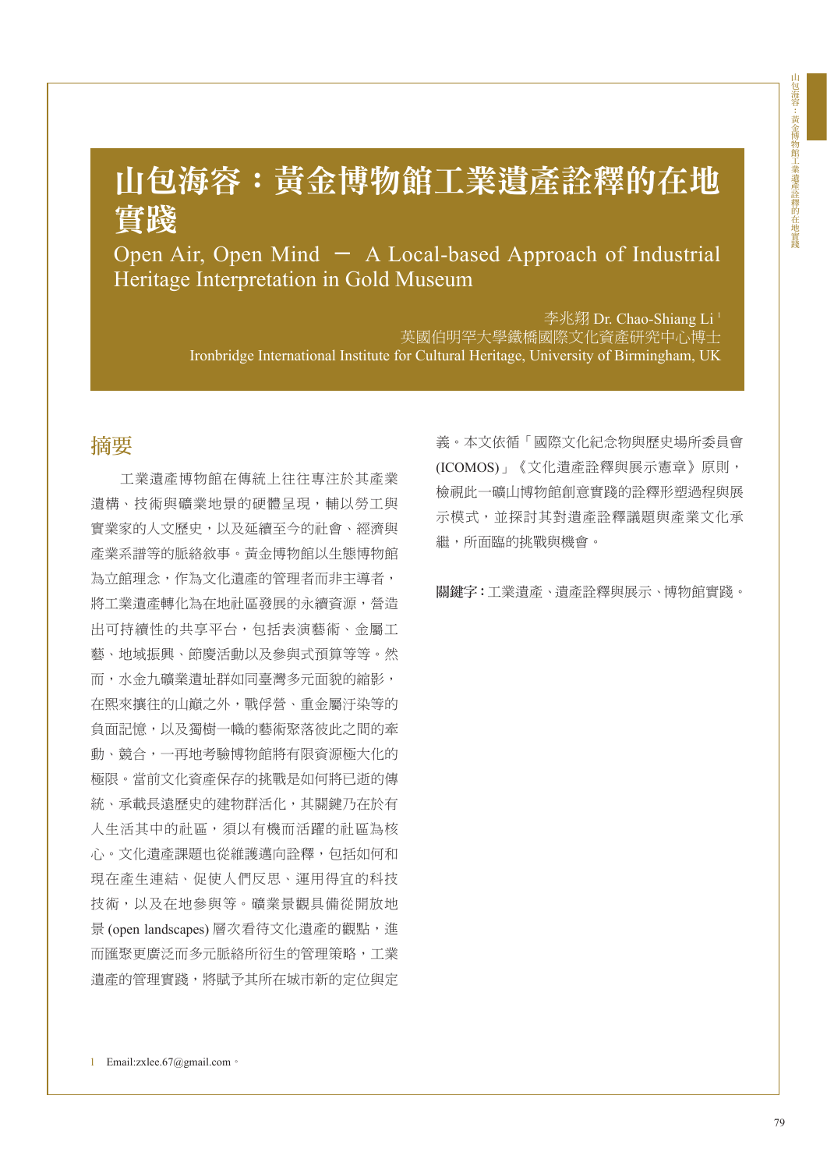# 山包海容:黃金博物館工業遺產詮釋的在地 實踐

Open Air, Open Mind - A Local-based Approach of Industrial Heritage Interpretation in Gold Museum

> 李兆翔 Dr. Chao-Shiang Li<sup>1</sup> 英國伯明罕大學鐵橋國際文化資產研究中心博士 Ironbridge International Institute for Cultural Heritage, University of Birmingham, UK

### 摘要

工業遺產博物館在傳統上往往專注於其產業 遺構、技術與礦業地景的硬體呈現,輔以勞工與 實業家的人文歷史,以及延續至今的社會、經濟與 產業系譜等的脈絡敘事。黃金博物館以生態博物館 為立館理念,作為文化遺產的管理者而非主導者, 將工業遺產轉化為在地社區發展的永續資源,營造 出可持續性的共享平台,包括表演藝術、金屬工 藝、地域振興、節慶活動以及參與式預算等等。然 而,水金九礦業遺址群如同臺灣多元面貌的縮影, 在熙來攘往的山巔之外,戰俘營、重金屬汙染等的 負面記憶,以及獨樹一幟的藝術聚落彼此之間的牽 動、競合,一再地考驗博物館將有限資源極大化的 極限。當前文化資產保存的挑戰是如何將已逝的傳 統、承載長遠歷史的建物群活化,其關鍵乃在於有 人生活其中的社區,須以有機而活躍的社區為核 心。文化遺產課題也從維護邁向詮釋,包括如何和 現在產生連結、促使人們反思、運用得宜的科技 技術,以及在地參與等。礦業景觀具備從開放地 景 (open landscapes) 層次看待文化遺產的觀點,進 而匯聚更廣泛而多元脈絡所衍生的管理策略,工業 遺產的管理實踐,將賦予其所在城市新的定位與定

義。本文依循「國際文化紀念物與歷史場所委員會 (ICOMOS)」《文化遺產詮釋與展示憲章》原則, 檢視此一礦山博物館創意實踐的詮釋形塑過程與展 示模式,並探討其對遺產詮釋議題與產業文化承 繼,所面臨的挑戰與機會。

關鍵字:工業遺產、遺產詮釋與展示、博物館實踐。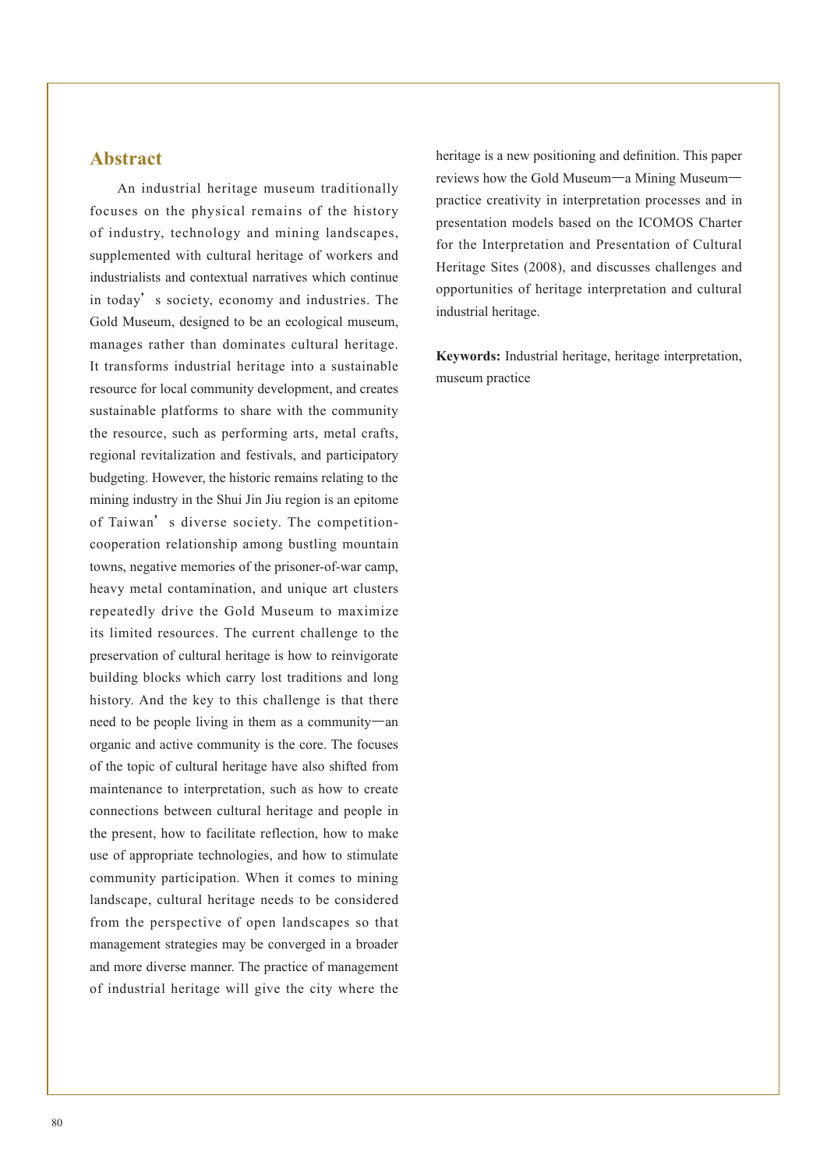### **Abstract**

An industrial heritage museum traditionally focuses on the physical remains of the history of industry, technology and mining landscapes, supplemented with cultural heritage of workers and industrialists and contextual narratives which continue in today's society, economy and industries. The Gold Museum, designed to be an ecological museum, manages rather than dominates cultural heritage. It transforms industrial heritage into a sustainable resource for local community development, and creates sustainable platforms to share with the community the resource, such as performing arts, metal crafts, regional revitalization and festivals, and participatory budgeting. However, the historic remains relating to the mining industry in the Shui Jin Jiu region is an epitome of Taiwan's diverse society. The competitioncooperation relationship among bustling mountain towns, negative memories of the prisoner-of-war camp, heavy metal contamination, and unique art clusters repeatedly drive the Gold Museum to maximize its limited resources. The current challenge to the preservation of cultural heritage is how to reinvigorate building blocks which carry lost traditions and long history. And the key to this challenge is that there need to be people living in them as a community—an organic and active community is the core. The focuses of the topic of cultural heritage have also shifted from maintenance to interpretation, such as how to create connections between cultural heritage and people in the present, how to facilitate reflection, how to make use of appropriate technologies, and how to stimulate community participation. When it comes to mining landscape, cultural heritage needs to be considered from the perspective of open landscapes so that management strategies may be converged in a broader and more diverse manner. The practice of management of industrial heritage will give the city where the

heritage is a new positioning and definition. This paper reviews how the Gold Museum—a Mining Museum practice creativity in interpretation processes and in presentation models based on the ICOMOS Charter for the Interpretation and Presentation of Cultural Heritage Sites (2008), and discusses challenges and opportunities of heritage interpretation and cultural industrial heritage.

**Keywords:** Industrial heritage, heritage interpretation, museum practice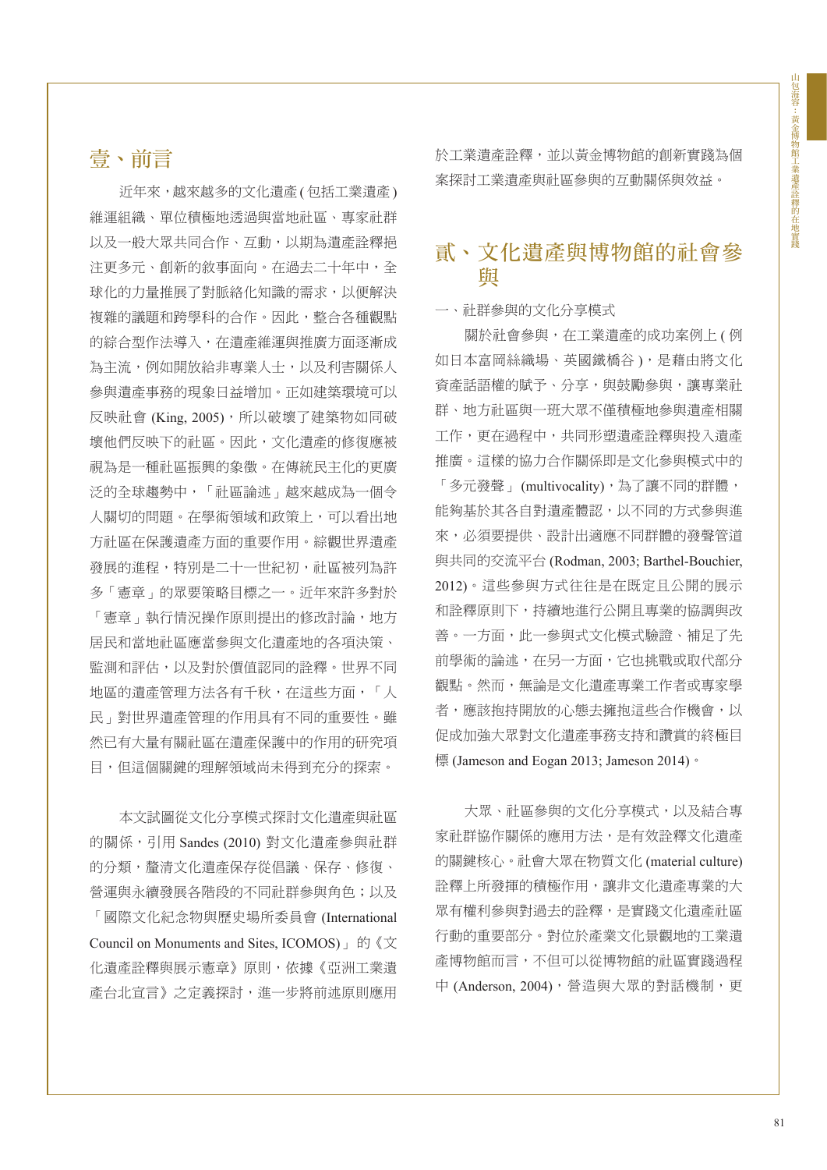### 壹、前言

近年來,越來越多的文化遺產 ( 包括工業遺產 ) 維運組織、單位積極地透過與當地社區、專家社群 以及一般大眾共同合作、互動,以期為遺產詮釋挹 注更多元、創新的敘事面向。在過去二十年中,全 球化的力量推展了對脈絡化知識的需求,以便解決 複雜的議題和跨學科的合作。因此,整合各種觀點 的綜合型作法導入,在遺產維運與推廣方面逐漸成 為主流,例如開放給非專業人士,以及利害關係人 參與遺產事務的現象日益增加。正如建築環境可以 反映社會 (King, 2005), 所以破壞了建築物如同破 壞他們反映下的社區。因此,文化遺產的修復應被 視為是一種社區振興的象徵。在傳統民主化的更廣 泛的全球趨勢中,「社區論述」越來越成為一個令 人關切的問題。在學術領域和政策上,可以看出地 方社區在保護遺產方面的重要作用。綜觀世界遺產 發展的進程,特別是二十一世紀初,社區被列為許 多「憲章」的眾要策略目標之一。近年來許多對於 「憲章」執行情況操作原則提出的修改討論,地方 居民和當地社區應當參與文化遺產地的各項決策、 監測和評估,以及對於價值認同的詮釋。世界不同 地區的遺產管理方法各有千秋,在這些方面,「人 民」對世界遺產管理的作用具有不同的重要性。雖 然已有大量有關社區在遺產保護中的作用的研究項 目,但這個關鍵的理解領域尚未得到充分的探索。

本文試圖從文化分享模式探討文化遺產與社區 的關係,引用 Sandes (2010) 對文化遺產參與社群 的分類,釐清文化遺產保存從倡議、保存、修復、 營運與永續發展各階段的不同社群參與角色;以及 「國際文化紀念物與歷史場所委員會 (International Council on Monuments and Sites, ICOMOS)」 的《文 化遺產詮釋與展示憲章》原則,依據《亞洲工業遺 產台北宣言》之定義探討,進一步將前述原則應用 於工業遺產詮釋,並以黃金博物館的創新實踐為個 案探討工業遺產與社區參與的互動關係與效益。

### 貳、文化遺產與博物館的社會參 與

#### 一、社群參與的文化分享模式

關於社會參與,在工業遺產的成功案例上 ( 例 如日本富岡絲織場、英國鐵橋谷),是藉由將文化 資產話語權的賦予、分享,與鼓勵參與,讓專業社 群、地方社區與一班大眾不僅積極地參與遺產相關 工作,更在過程中,共同形塑遺產詮釋與投入遺產 推廣。這樣的協力合作關係即是文化參與模式中的 「多元發聲」(multivocality),為了讓不同的群體, 能夠基於其各自對遺產體認,以不同的方式參與進 來,必須要提供、設計出適應不同群體的發聲管道 與共同的交流平台 (Rodman, 2003; Barthel-Bouchier, 2012)。這些參與方式往往是在既定且公開的展示 和詮釋原則下,持續地進行公開且專業的協調與改 善。一方面,此一參與式文化模式驗證、補足了先 前學術的論述,在另一方面,它也挑戰或取代部分 觀點。然而,無論是文化遺產專業工作者或專家學 者,應該抱持開放的心態去擁抱這些合作機會,以 促成加強大眾對文化遺產事務支持和讚賞的終極目 標 (Jameson and Eogan 2013; Jameson 2014)。

大眾、社區參與的文化分享模式,以及結合專 家社群協作關係的應用方法,是有效詮釋文化遺產 的關鍵核心。社會大眾在物質文化 (material culture) 詮釋上所發揮的積極作用,讓非文化遺產專業的大 眾有權利參與對過去的詮釋,是實踐文化遺產社區 行動的重要部分。對位於產業文化景觀地的工業遺 產博物館而言,不但可以從博物館的社區實踐過程 中 (Anderson, 2004), 營造與大眾的對話機制, 更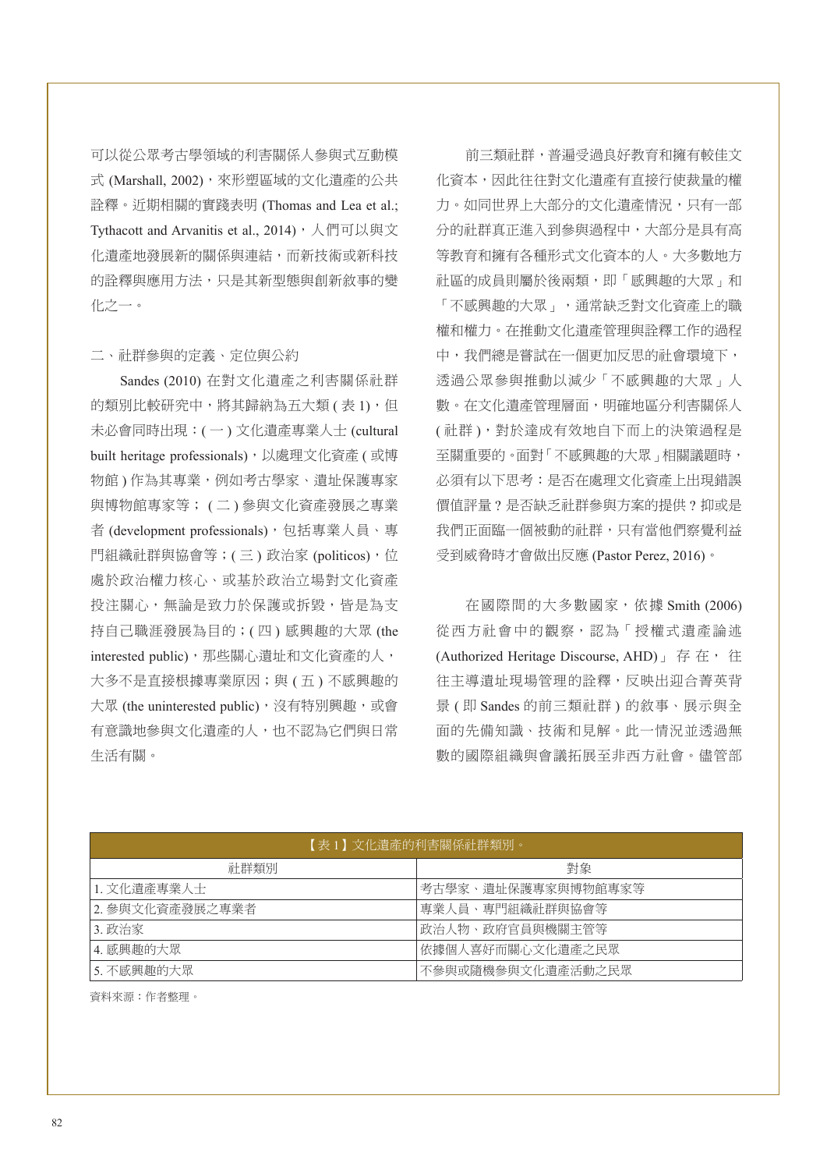可以從公眾考古學領域的利害關係人參與式互動模 式 (Marshall, 2002), 來形塑區域的文化遺產的公共 詮釋。近期相關的實踐表明 (Thomas and Lea et al.; Tythacott and Arvanitis et al., 2014), 人們可以與文 化遺產地發展新的關係與連結,而新技術或新科技 的詮釋與應用方法,只是其新型態與創新敘事的變 化之一。

#### 二、社群參與的定義、定位與公約

Sandes (2010) 在對文化遺產之利害關係社群 的類別比較研究中,將其歸納為五大類(表1),但 未必會同時出現:( 一 ) 文化遺產專業人士 (cultural built heritage professionals),以處理文化資產 ( 或博 物館 ) 作為其專業,例如考古學家、遺址保護專家 與博物館專家等; ( 二 ) 參與文化資產發展之專業 者 (development professionals), 包括專業人員、專 門組織社群與協會等;(三)政治家(politicos),位 處於政治權力核心、或基於政治立場對文化資產 投注關心,無論是致力於保護或拆毀,皆是為支 持自己職涯發展為目的;( 四 ) 感興趣的大眾 (the interested public),那些關心遺址和文化資產的人, 大多不是直接根據專業原因;與 (五 ) 不感興趣的 大眾 (the uninterested public),沒有特別興趣,或會 有意識地參與文化遺產的人,也不認為它們與日常 生活有關。

前三類社群,普遍受過良好教育和擁有較佳文 化資本,因此往往對文化遺產有直接行使裁量的權 力。如同世界上大部分的文化遺產情況,只有一部 分的社群真正進入到參與過程中,大部分是具有高 等教育和擁有各種形式文化資本的人。大多數地方 社區的成員則屬於後兩類,即「感興趣的大眾」和 「不感興趣的大眾」,通常缺乏對文化資產上的職 權和權力。在推動文化遺產管理與詮釋工作的過程 中,我們總是嘗試在一個更加反思的社會環境下, 透過公眾參與推動以減少「不感興趣的大眾」人 數。在文化遺產管理層面,明確地區分利害關係人 ( 社群 ),對於達成有效地自下而上的決策過程是 至關重要的。面對「不感興趣的大眾」相關議題時, 必須有以下思考:是否在處理文化資產上出現錯誤 價值評量 ? 是否缺乏社群參與方案的提供 ? 抑或是 我們正面臨一個被動的社群,只有當他們察覺利益 受到威脅時才會做出反應 (Pastor Perez, 2016)。

在國際間的大多數國家,依據 Smith (2006) 從西方社會中的觀察,認為「授權式遺產論述 (Authorized Heritage Discourse, AHD)  $\frac{1}{16}$  在, 往 往主導遺址現場管理的詮釋,反映出迎合菁英背 景 ( 即 Sandes 的前三類社群 ) 的敘事、展示與全 面的先備知識、技術和見解。此一情況並透過無 數的國際組織與會議拓展至非西方社會。儘管部

| 【表 1 】文化潰產的利害關係社群類別。 |                    |  |  |  |
|----------------------|--------------------|--|--|--|
| 社群類別                 | 對象                 |  |  |  |
| 1. 文化潰產專業人士          | 考古學家、遺址保護專家與博物館專家等 |  |  |  |
| 2.參與文化資產發展之專業者       | 專業人員、專門組織社群與協會等    |  |  |  |
| 3. 政治家               | 政治人物、政府官員與機關主管等    |  |  |  |
| 4. 感興趣的大眾            | 依據個人喜好而關心文化遺產之民眾   |  |  |  |
| 5. 不感興趣的大眾           | 不參與或隨機參與文化潰產活動之民眾  |  |  |  |

資料來源:作者整理。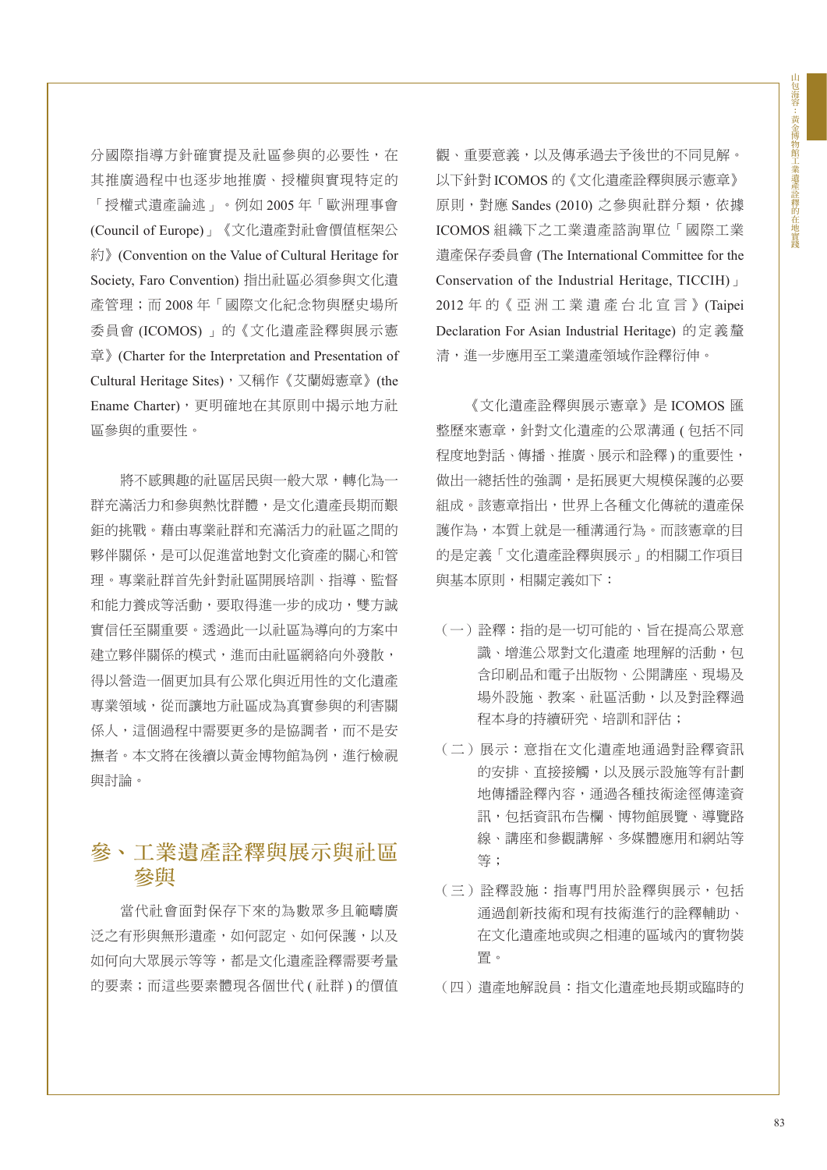分國際指導方針確實提及社區參與的必要性,在 其推廣過程中也逐步地推廣、授權與實現特定的 「授權式遺產論述」。例如 2005 年「歐洲理事會 (Council of Europe)」《文化遺產對社會價值框架公 約》(Convention on the Value of Cultural Heritage for Society, Faro Convention) 指出社區必須參與文化遺 產管理;而 2008 年「國際文化紀念物與歷史場所 委員會 (ICOMOS) 」的《文化遺產詮釋與展示憲 章》(Charter for the Interpretation and Presentation of Cultural Heritage Sites),又稱作《艾蘭姆憲章》(the Ename Charter),更明確地在其原則中揭示地方社 區參與的重要性。

將不感興趣的社區居民與一般大眾,轉化為一 群充滿活力和參與熱忱群體,是文化遺產長期而艱 鉅的挑戰。藉由專業社群和充滿活力的社區之間的 夥伴關係,是可以促進當地對文化資產的關心和管 理。專業社群首先針對社區開展培訓、指導、監督 和能力養成等活動,要取得進一步的成功,雙方誠 實信任至關重要。透過此一以社區為導向的方案中 建立夥伴關係的模式,進而由社區網絡向外發散, 得以營造一個更加具有公眾化與近用性的文化遺產 專業領域,從而讓地方社區成為真實參與的利害關 係人,這個過程中需要更多的是協調者,而不是安 撫者。本文將在後續以黃金博物館為例,進行檢視 與討論。

## 參、工業遺產詮釋與展示與社區 參與

當代社會面對保存下來的為數眾多且範疇廣 泛之有形與無形遺產,如何認定、如何保護,以及 如何向大眾展示等等,都是文化遺產詮釋需要考量 的要素;而這些要素體現各個世代 ( 社群 ) 的價值 觀、重要意義,以及傳承過去予後世的不同見解。 以下針對 ICOMOS 的《文化遺產詮釋與展示憲章》 原則,對應 Sandes (2010) 之參與社群分類,依據 ICOMOS 組織下之工業遺產諮詢單位「國際工業 遺產保存委員會 (The International Committee for the Conservation of the Industrial Heritage, TICCIH)」 2012 年 的《 亞 洲 工 業 遺 產 台 北 宣 言 》(Taipei Declaration For Asian Industrial Heritage) 的定義釐 清,進一步應用至工業遺產領域作詮釋衍伸。

《文化遺產詮釋與展示憲章》是 ICOMOS 匯 整歷來憲章,針對文化遺產的公眾溝通 ( 包括不同 程度地對話、傳播、推廣、展示和詮釋)的重要性, 做出一總括性的強調,是拓展更大規模保護的必要 組成。該憲章指出,世界上各種文化傳統的遺產保 護作為,本質上就是一種溝通行為。而該憲章的目 的是定義「文化遺產詮釋與展示」的相關工作項目 與基本原則,相關定義如下:

- (一)詮釋:指的是一切可能的、旨在提高公眾意 識、增進公眾對文化遺產 地理解的活動, 包 含印刷品和電子出版物、公開講座、現場及 場外設施、教案、社區活動,以及對詮釋過 程本身的持續研究、培訓和評估;
- (二)展示:意指在文化遺產地通過對詮釋資訊 的安排、直接接觸,以及展示設施等有計劃 地傳播詮釋內容,通過各種技術途徑傳達資 訊,包括資訊布告欄、博物館展覽、導覽路 線、講座和參觀講解、多媒體應用和網站等 等;
- (三)詮釋設施:指專門用於詮釋與展示,包括 通過創新技術和現有技術進行的詮釋輔助、 在文化遺產地或與之相連的區域內的實物裝 置。
- (四)遺產地解說員:指文化遺產地長期或臨時的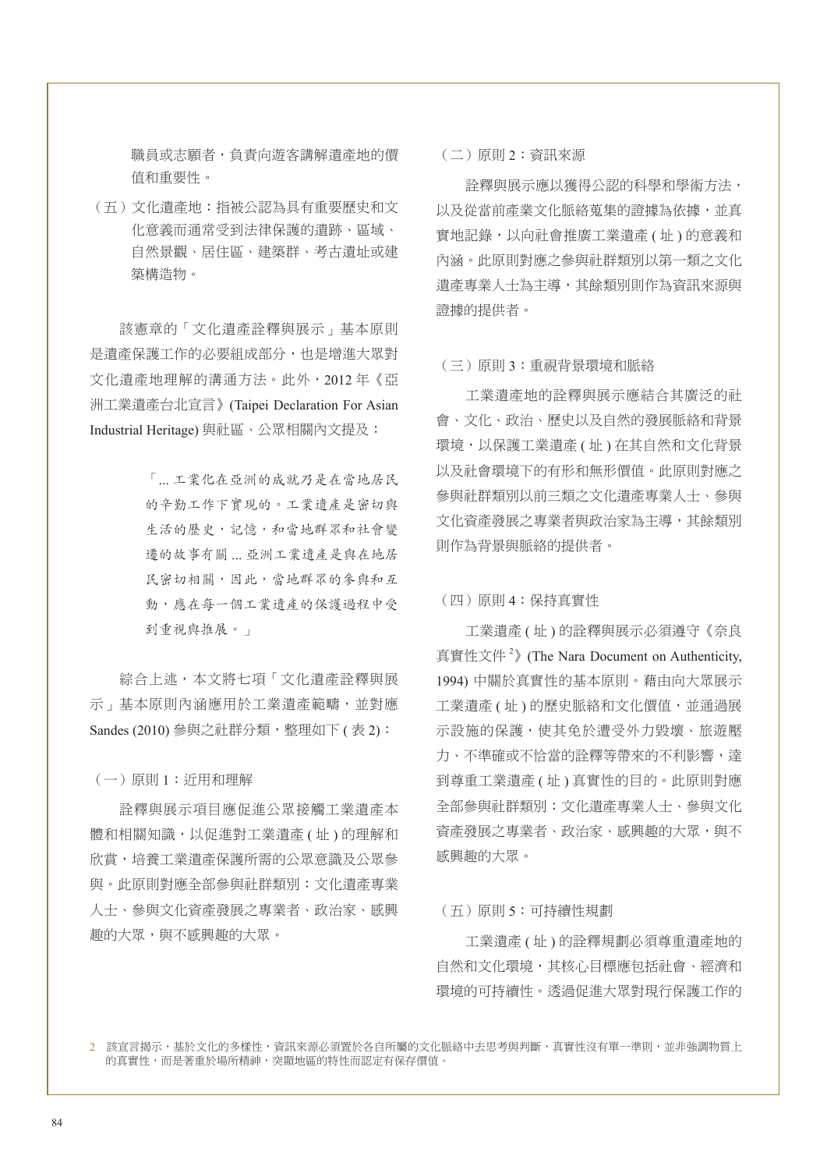職員或志願者,負責向遊客講解遺產地的價 值和重要性。

(五)文化遺產地:指被公認為具有重要歷史和文 化意義而通常受到法律保護的遺跡、區域、 自然景觀、居住區、建築群、考古遺址或建 築構造物。

該憲章的「文化遺產詮釋與展示」基本原則 是遺產保護工作的必要組成部分,也是增進大眾對 文化遺產地理解的溝通方法。此外,2012 年《亞 洲工業遺產台北宣言》(Taipei Declaration For Asian Industrial Heritage) 與社區、公眾相關內文提及:

> 「... 工業化在亞洲的成就乃是在當地居民 的辛勤工作下實現的。工業遺產是密切與 生活的歷史,記憶,和當地群眾和社會變 遷的故事有關 ... 亞洲工業遺產是與在地居 民密切相關,因此,當地群眾的參與和互 動,應在每一個工業遺產的保護過程中受 到重視與推展。」

綜合上述,本文將七項「文化遺產詮釋與展 示」基本原則內涵應用於工業遺產範疇,並對應 Sandes (2010) 參與之社群分類, 整理如下 ( 表 2):

(一)原則 1:近用和理解

詮釋與展示項目應促進公眾接觸工業遺產本 體和相關知識,以促進對工業遺產 ( 址 ) 的理解和 欣賞,培養工業遺產保護所需的公眾意識及公眾參 與。此原則對應全部參與社群類別:文化遺產專業 人士、參與文化資產發展之專業者、政治家、感興 趣的大眾,與不感興趣的大眾。

(二)原則 2:資訊來源

詮釋與展示應以獲得公認的科學和學術方法, 以及從當前產業文化脈絡蒐集的證據為依據,並真 實地記錄,以向社會推廣工業遺產 ( 址 ) 的意義和 內涵。此原則對應之參與社群類別以第一類之文化 遺產專業人士為主導,其餘類別則作為資訊來源與 證據的提供者。

#### (三)原則 3:重視背景環境和脈絡

工業遺產地的詮釋與展示應結合其廣泛的社 會、文化、政治、歷史以及自然的發展脈絡和背景 環境,以保護工業遺產 (址) 在其自然和文化背景 以及社會環境下的有形和無形價值。此原則對應之 參與社群類別以前三類之文化遺產專業人士、參與 文化資產發展之專業者與政治家為主導,其餘類別 則作為背景與脈絡的提供者。

#### (四)原則 4:保持真實性

工業遺產 ( 址 ) 的詮釋與展示必須遵守《奈良 真實性文件<sup>2</sup>》(The Nara Document on Authenticity, 1994) 中關於真實性的基本原則。藉由向大眾展示 工業遺產 (址) 的歷史脈絡和文化價值,並通過展 示設施的保護,使其免於遭受外力毀壞、旅遊壓 力、不準確或不恰當的詮釋等帶來的不利影響,達 到尊重工業遺產 ( 址 ) 真實性的目的。此原則對應 全部參與社群類別:文化遺產專業人士、參與文化 資產發展之專業者、政治家、感興趣的大眾,與不 感興趣的大眾。

#### (五)原則 5:可持續性規劃

工業遺產 ( 址 ) 的詮釋規劃必須尊重遺產地的 自然和文化環境,其核心目標應包括社會、經濟和 環境的可持續性。透過促進大眾對現行保護工作的

2 該宣言揭示,基於文化的多樣性,資訊來源必須置於各自所屬的文化脈絡中去思考與判斷,真實性沒有單一準則,並非強調物質上 的真實性,而是著重於場所精神,突顯地區的特性而認定有保存價值。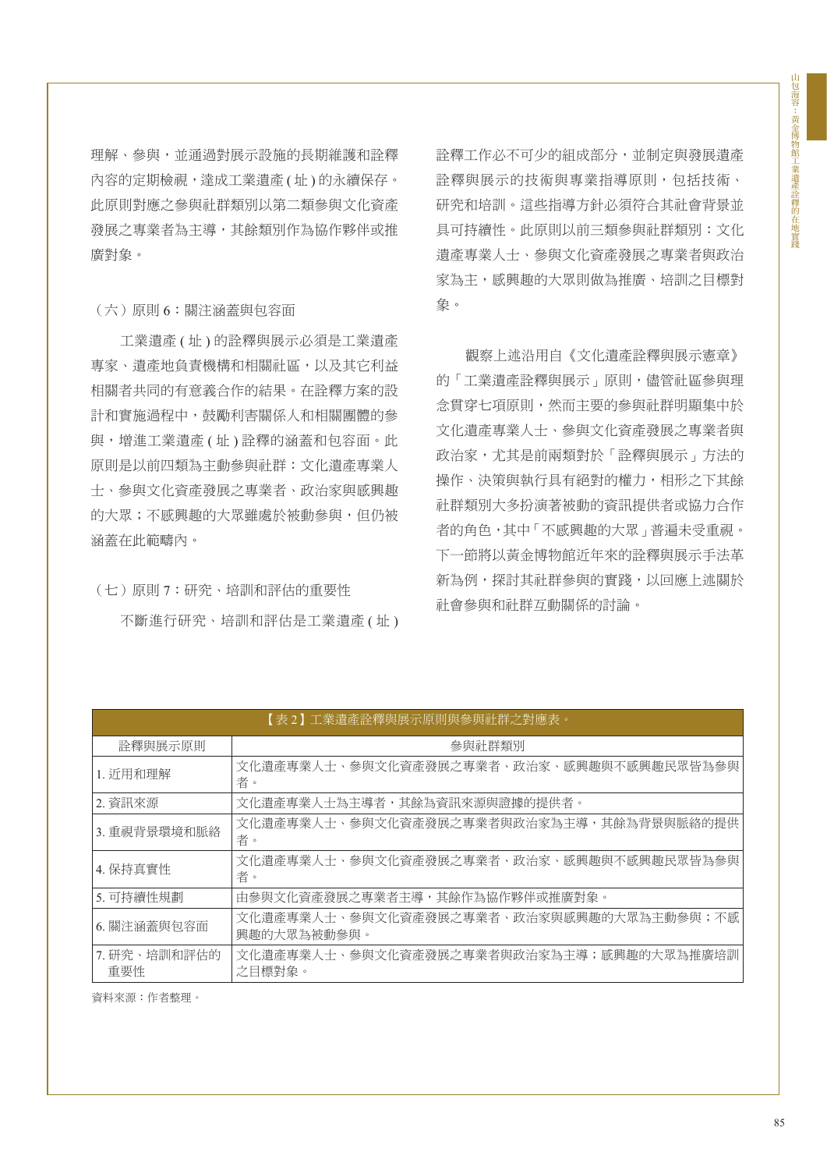理解、參與,並通過對展示設施的長期維護和詮釋 內容的定期檢視,達成工業遺產 ( 址 ) 的永續保存。 此原則對應之參與社群類別以第二類參與文化資產 發展之專業者為主導,其餘類別作為協作夥伴或推 廣對象。

#### (六)原則 6:關注涵蓋與包容面

工業遺產 ( 址 ) 的詮釋與展示必須是工業遺產 專家、遺產地負責機構和相關社區,以及其它利益 相關者共同的有意義合作的結果。在詮釋方案的設 計和實施過程中,鼓勵利害關係人和相關團體的參 與,增進工業遺產 (址) 詮釋的涵蓋和包容面。此 原則是以前四類為主動參與社群:文化遺產專業人 士、參與文化資產發展之專業者、政治家與感興趣 的大眾;不感興趣的大眾雖處於被動參與,但仍被 涵蓋在此範疇內。

### (七)原則 7:研究、培訓和評估的重要性

不斷進行研究、培訓和評估是工業遺產 ( 址 )

詮釋工作必不可少的組成部分,並制定與發展遺產 詮釋與展示的技術與專業指導原則,包括技術、 研究和培訓。這些指導方針必須符合其社會背景並 具可持續性。此原則以前三類參與社群類別:文化 遺產專業人士、參與文化資產發展之專業者與政治 家為主,感興趣的大眾則做為推廣、培訓之目標對 象。

觀察上述沿用自《文化遺產詮釋與展示憲章》 的「工業遺產詮釋與展示」原則,儘管社區參與理 念貫穿七項原則,然而主要的參與社群明顯集中於 文化遺產專業人士、參與文化資產發展之專業者與 政治家,尤其是前兩類對於「詮釋與展示」方法的 操作、決策與執行具有絕對的權力,相形之下其餘 社群類別大多扮演著被動的資訊提供者或協力合作 者的角色,其中「不感興趣的大眾」普遍未受重視。 下一節將以黃金博物館近年來的詮釋與展示手法革 新為例,探討其社群參與的實踐,以回應上述關於 社會參與和社群互動關係的討論。

| 【表 2】工業遺產詮釋與展示原則與參與社群之對應表。 |                                                         |  |
|----------------------------|---------------------------------------------------------|--|
| 詮釋與展示原則                    | 參與社群類別                                                  |  |
| 1. 沂用和理解                   | 文化遺產專業人士、參與文化資產發展之專業者、政治家、感興趣與不感興趣民眾皆為參與<br>者。          |  |
| 2. 資訊來源                    | 文化潰產專業人十為主導者,其餘為資訊來源與證據的提供者。                            |  |
| 3. 重視背景環境和脈絡               | 文化遺產專業人士、參與文化資產發展之專業者與政治家為主導,其餘為背景與脈絡的提供<br>者。          |  |
| 4. 保持真實性                   | 文化遺產專業人士、參與文化資產發展之專業者、政治家、感興趣與不感興趣民眾皆為參與<br>者。          |  |
| 5. 可持續性規劃                  | 由參與文化資產發展之專業者主導,其餘作為協作夥伴或推廣對象。                          |  |
| 6. 關注涵蓋與包容面                | 文化潰產專業人十、參與文化資產發展之專業者、政治家與感興趣的大眾為主動參與;不感<br>興趣的大眾為被動參與。 |  |
| 7. 研究、培訓和評估的<br>重要性        | 文化遺產專業人士、參與文化資產發展之專業者與政治家為主導;感興趣的大眾為推廣培訓<br>之目標對象。      |  |

資料來源:作者整理。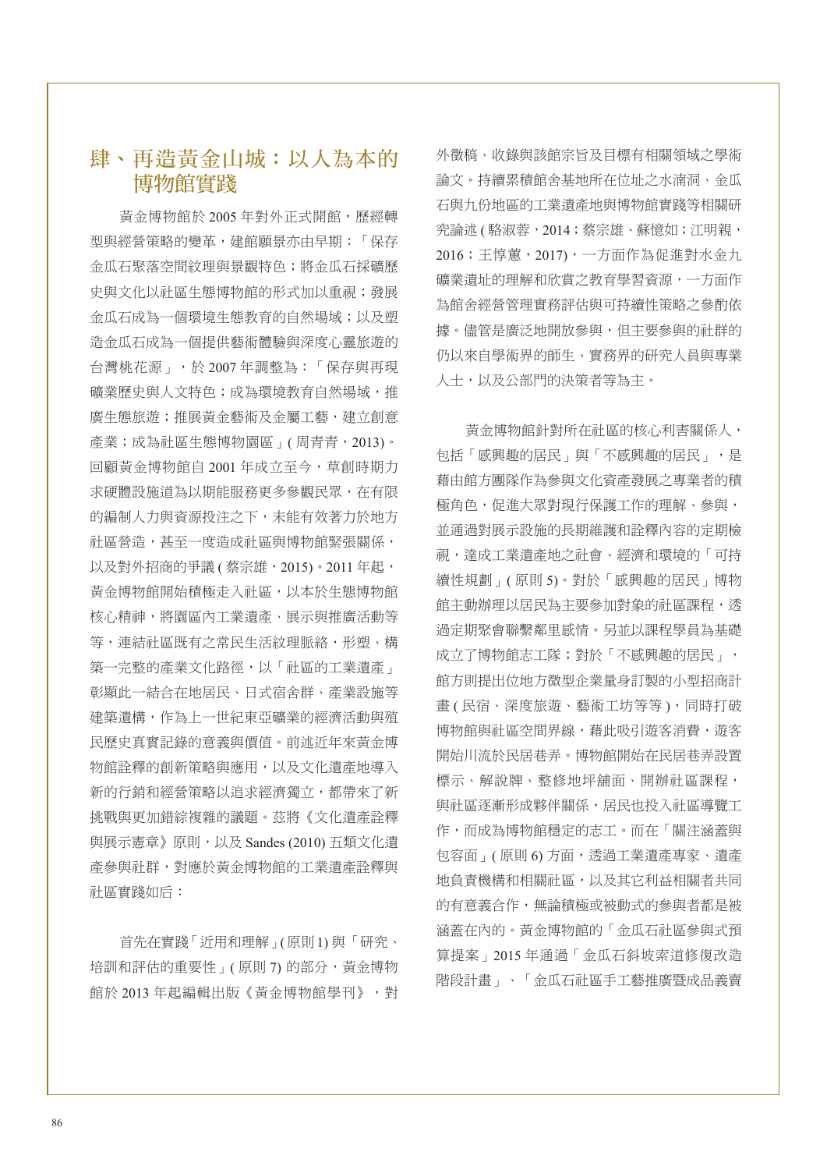### 肆、再造黃金山城:以人為本的 博物館實踐

黃金博物館於 2005 年對外正式開館,歷經轉 型與經營策略的變革,建館願景亦由早期:「保存 金瓜石聚落空間紋理與景觀特色;將金瓜石採礦歷 史與文化以社區生態博物館的形式加以重視;發展 金瓜石成為一個環境生態教育的自然場域;以及塑 造金瓜石成為一個提供藝術體驗與深度心靈旅遊的 台灣桃花源」,於 2007 年調整為:「保存與再現 礦業歷史與人文特色;成為環境教育自然場域,推 廣生態旅遊;推展黃金藝術及金屬工藝,建立創意 產業;成為社區生態博物園區」( 周青青,2013)。 回顧黃金博物館自 2001 年成立至今,草創時期力 求硬體設施道為以期能服務更多參觀民眾,在有限 的編制人力與資源投注之下,未能有效著力於地方 社區營造,甚至一度造成社區與博物館緊張關係, 以及對外招商的爭議 (蔡宗雄, 2015)。2011 年起, 黃金博物館開始積極走入社區,以本於生態博物館 核心精神,將園區內工業遺產、展示與推廣活動等 等,連結社區既有之常民生活紋理脈絡,形塑、構 築一完整的產業文化路徑,以「社區的工業遺產」 彰顯此一結合在地居民、日式宿舍群、產業設施等 建築遺構,作為上一世紀東亞礦業的經濟活動與殖 民歷史真實記錄的意義與價值。前述近年來黃金博 物館詮釋的創新策略與應用,以及文化遺產地導入 新的行銷和經營策略以追求經濟獨立,都帶來了新 挑戰與更加錯綜複雜的議題。茲將《文化遺產詮釋 與展示憲章》原則,以及 Sandes (2010) 五類文化遺 產參與社群,對應於黃金博物館的工業遺產詮釋與 社區實踐如后:

首先在實踐「近用和理解」(原則1) 與「研究、 培訓和評估的重要性」(原則7)的部分,黃金博物 館於 2013 年起編輯出版《黃金博物館學刊》,對 外徵稿、收錄與該館宗旨及目標有相關領域之學術 論文。持續累積館舍基地所在位址之水湳洞、金瓜 石與九份地區的工業遺產地與博物館實踐等相關研 究論述 ( 駱淑蓉,2014;蔡宗雄、蘇憶如;江明親, 2016;王惇蕙,2017),一方面作為促進對水金九 礦業遺址的理解和欣賞之教育學習資源,一方面作 為館舍經營管理實務評估與可持續性策略之參酌依 據。儘管是廣泛地開放參與,但主要參與的計群的 仍以來自學術界的師生、實務界的研究人員與專業 人士,以及公部門的決策者等為主。

黃金博物館針對所在社區的核心利害關係人, 包括「感興趣的居民」與「不感興趣的居民」,是 藉由館方團隊作為參與文化資產發展之專業者的積 極角色,促進大眾對現行保護工作的理解、參與, 並通過對展示設施的長期維護和詮釋內容的定期檢 視,達成工業遺產地之社會、經濟和環境的「可持 續性規劃」( 原則 5)。對於「感興趣的居民」博物 館主動辦理以居民為主要參加對象的社區課程,透 過定期聚會聯繫鄰里感情。另並以課程學員為基礎 成立了博物館志工隊;對於「不感興趣的居民」, 館方則提出位地方微型企業量身訂製的小型招商計 畫 ( 民宿、深度旅遊、藝術工坊等等 ),同時打破 博物館與社區空間界線,藉此吸引遊客消費,遊客 開始川流於民居巷弄。博物館開始在民居巷弄設置 標示、解說牌、整修地坪舖面、開辦社區課程, 與社區逐漸形成夥伴關係,居民也投入社區導覽工 作,而成為博物館穩定的志工。而在「關注涵蓋與 包容面」(原則6)方面,透過工業遺產專家、遺產 地負責機構和相關社區,以及其它利益相關者共同 的有意義合作,無論積極或被動式的參與者都是被 涵蓋在內的。黃金博物館的「金瓜石社區參與式預 算提案」2015 年通過「金瓜石斜坡索道修復改造 階段計畫」、「金瓜石社區手工藝推廣暨成品義賣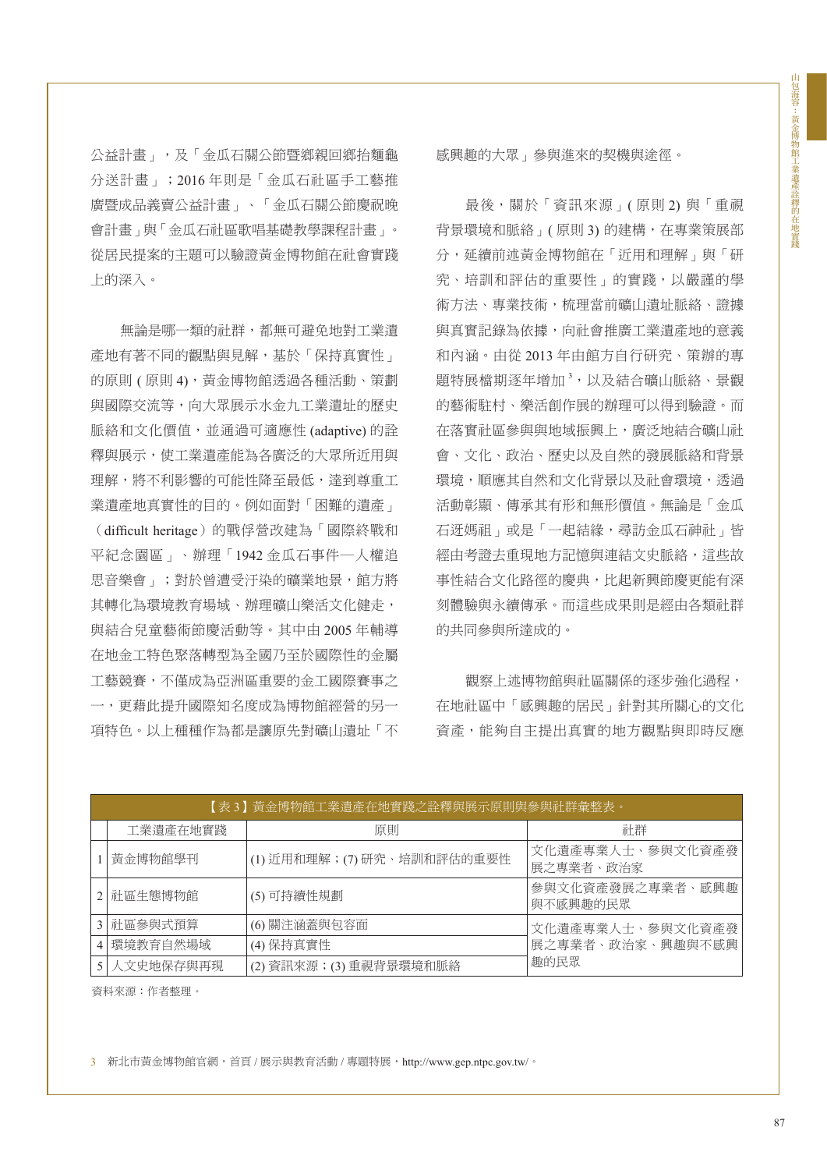公益計畫」,及「金瓜石關公節暨鄉親回鄉抬麵龜 分送計畫」;2016 年則是「金瓜石社區手工藝推 廣暨成品義賣公益計畫」、「金瓜石關公節慶祝晚 會計畫」與「金瓜石社區歌唱基礎教學課程計畫」。 從居民提案的主題可以驗證黃金博物館在社會實踐 上的深入。

無論是哪一類的社群,都無可避免地對工業遺 產地有著不同的觀點與見解,基於「保持真實性」 的原則 (原則 4),黃金博物館透過各種活動、策劃 與國際交流等,向大眾展示水金九工業遺址的歷史 脈絡和文化價值,並通過可適應性 (adaptive) 的詮 釋與展示,使工業遺產能為各廣泛的大眾所近用與 理解,將不利影響的可能性降至最低,達到尊重工 業遺產地真實性的目的。例如面對「困難的遺產」

(difficult heritage)的戰俘營改建為「國際終戰和 平紀念園區」、辦理「1942 金瓜石事件─人權追 思音樂會」;對於曾遭受汙染的礦業地景,館方將 其轉化為環境教育場域、辦理礦山樂活文化健走, 與結合兒童藝術節慶活動等。其中由 2005 年輔導 在地金工特色聚落轉型為全國乃至於國際性的金屬 工藝競賽,不僅成為亞洲區重要的金工國際賽事之 一,更藉此提升國際知名度成為博物館經營的另一 項特色。以上種種作為都是讓原先對礦山遺址「不 感興趣的大眾」參與進來的契機與途徑。

最後,關於「資訊來源」( 原則 2) 與「重視 背景環境和脈絡」(原則3)的建構,在專業策展部 分,延續前述黃金博物館在「近用和理解」與「研 究、培訓和評估的重要性」的實踐,以嚴謹的學 術方法、專業技術,梳理當前礦山遺址脈絡、證據 與真實記錄為依據,向社會推廣工業遺產地的意義 和內涵。由從 2013 年由館方自行研究、策辦的專 題特展檔期逐年增加<sup>3</sup>,以及結合礦山脈絡、景觀 的藝術駐村、樂活創作展的辦理可以得到驗證。而 在落實社區參與與地域振興上,廣泛地結合礦山社 會、文化、政治、歷史以及自然的發展脈絡和背景 環境,順應其自然和文化背景以及社會環境,透過 活動彰顯、傳承其有形和無形價值。無論是「金瓜 石迓媽祖」或是「一起結緣,尋訪金瓜石神社」皆 經由考證去重現地方記憶與連結文史脈絡,這些故 事性結合文化路徑的慶典,比起新興節慶更能有深 刻體驗與永續傳承。而這些成果則是經由各類社群 的共同參與所達成的。

觀察上述博物館與社區關係的逐步強化過程, 在地社區中「感興趣的居民」針對其所關心的文化 資產,能夠自主提出真實的地方觀點與即時反應

| 【表 3】黃金博物館工業遺產在地實踐之詮釋與展示原則與參與社群彙整表。 |             |                            |                                              |
|-------------------------------------|-------------|----------------------------|----------------------------------------------|
|                                     | 工業潰產在地實踐    | 原則                         | 計群                                           |
|                                     | 黃金博物館學刊     | (1) 近用和理解;(7) 研究、培訓和評估的重要性 | 文化遺產專業人士、參與文化資產發<br>展之專業者、政治家                |
|                                     | 2 社區生態博物館   | (5) 可持續性規劃                 | 參與文化資產發展之專業者、感興趣!<br>與不感興趣的民眾                |
|                                     | 3 社區參與式預算   | (6) 關注涵蓋與包容面               | 文化遺產專業人士、參與文化資產發<br>展之專業者、政治家、興趣與不感興<br>趣的民眾 |
|                                     | 4 環境教育自然場域  | (4) 保持真實性                  |                                              |
|                                     | 5 人文史地保存與再現 | (2) 資訊來源; (3) 重視背景環境和脈絡    |                                              |

資料來源:作者整理。

3 新北市黃金博物館官網,首頁 / 展示與教育活動 / 專題特展,http://www.gep.ntpc.gov.tw/。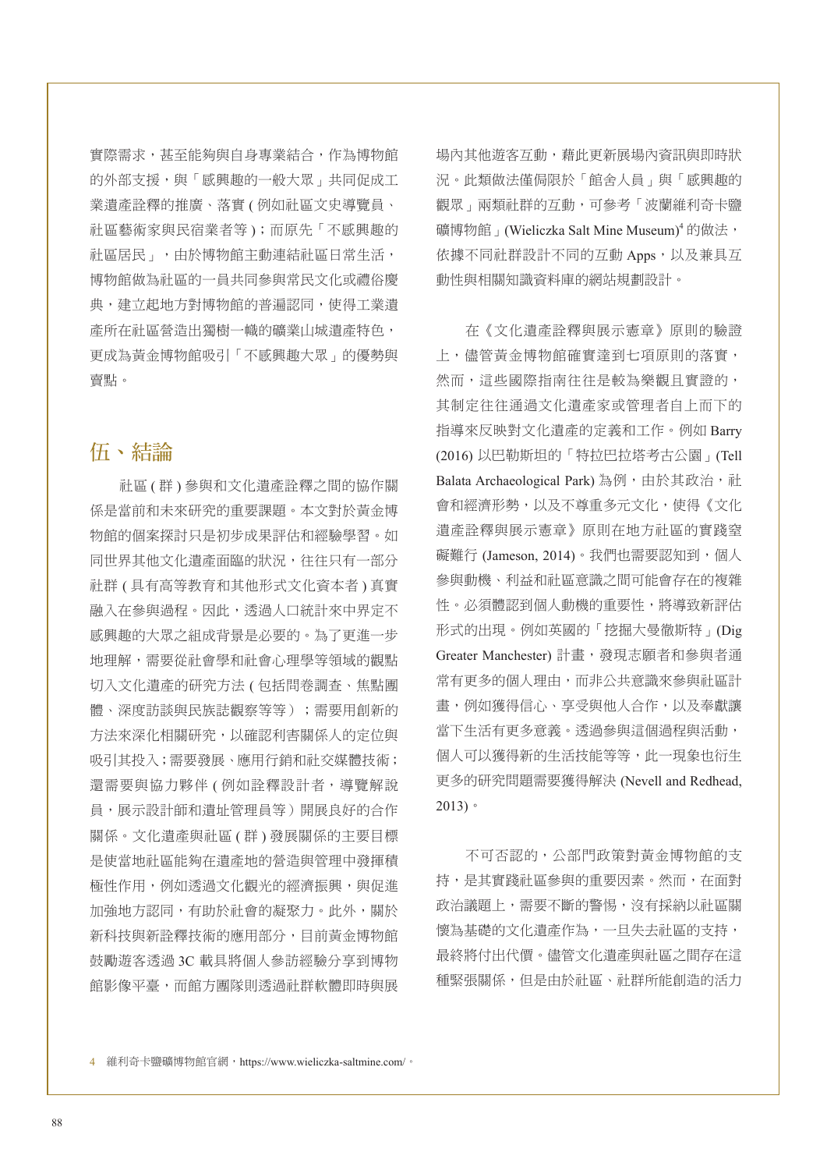實際需求,甚至能夠與自身專業結合,作為博物館 的外部支援,與「感興趣的一般大眾」共同促成工 業遺產詮釋的推廣、落實 ( 例如社區文史導覽員、 社區藝術家與民宿業者等 );而原先「不感興趣的 社區居民」,由於博物館主動連結社區日常生活, 博物館做為社區的一員共同參與常民文化或禮俗慶 典,建立起地方對博物館的普遍認同,使得工業遺 產所在社區營造出獨樹一幟的礦業山城遺產特色, 更成為黃金博物館吸引「不感興趣大眾」的優勢與 賣點。

# 伍、結論

社區 ( 群 ) 參與和文化遺產詮釋之間的協作關 係是當前和未來研究的重要課題。本文對於黃金博 物館的個案探討只是初步成果評估和經驗學習。如 同世界其他文化遺產面臨的狀況,往往只有一部分 社群 ( 具有高等教育和其他形式文化資本者 ) 真實 融入在參與過程。因此,透過人口統計來中界定不 感興趣的大眾之組成背景是必要的。為了更進一步 地理解,需要從社會學和社會心理學等領域的觀點 切入文化遺產的研究方法 ( 包括問卷調查、焦點團 體、深度訪談與民族誌觀察等等);需要用創新的 方法來深化相關研究,以確認利害關係人的定位與 吸引其投入;需要發展、應用行銷和社交媒體技術; 還需要與協力夥伴 (例如詮釋設計者,導覽解說 員,展示設計師和遺址管理員等)開展良好的合作 關係。文化遺產與社區 ( 群 ) 發展關係的主要目標 是使當地社區能夠在遺產地的營造與管理中發揮積 極性作用,例如透過文化觀光的經濟振興,與促進 加強地方認同,有助於社會的凝聚力。此外,關於 新科技與新詮釋技術的應用部分,目前黃金博物館 鼓勵遊客透過 3C 載具將個人參訪經驗分享到博物 館影像平臺,而館方團隊則透過社群軟體即時與展 場內其他遊客互動,藉此更新展場內資訊與即時狀 況。此類做法僅侷限於「館舍人員」與「感興趣的 觀眾」兩類社群的互動,可參考「波蘭維利奇卡鹽 礦博物館 | (Wieliczka Salt Mine Museum)<sup>4</sup> 的做法, 依據不同社群設計不同的互動 Apps, 以及兼具互 動性與相關知識資料庫的網站規劃設計。

在《文化遺產詮釋與展示憲章》原則的驗證 上,儘管黃金博物館確實達到七項原則的落實, 然而,這些國際指南往往是較為樂觀且實證的, 其制定往往通過文化遺產家或管理者自上而下的 指導來反映對文化遺產的定義和工作。例如 Barry (2016) 以巴勒斯坦的「特拉巴拉塔考古公園」(Tell Balata Archaeological Park)為例,由於其政治,社 會和經濟形勢,以及不尊重多元文化,使得《文化 遺產詮釋與展示憲章》原則在地方社區的實踐窒 礙難行 (Jameson, 2014)。我們也需要認知到, 個人 參與動機、利益和社區意識之間可能會存在的複雜 性。必須體認到個人動機的重要性,將導致新評估 形式的出現。例如英國的「挖掘大曼徹斯特」(Dig Greater Manchester) 計畫,發現志願者和參與者通 常有更多的個人理由,而非公共意識來參與社區計 畫,例如獲得信心、享受與他人合作,以及奉獻讓 當下生活有更多意義。透過參與這個過程與活動, 個人可以獲得新的生活技能等等,此一現象也衍生 更多的研究問題需要獲得解決 (Nevell and Redhead, 2013)。

不可否認的,公部門政策對黃金博物館的支 持,是其實踐社區參與的重要因素。然而,在面對 政治議題上,需要不斷的警惕,沒有採納以社區關 懷為基礎的文化遺產作為,一旦失去社區的支持, 最終將付出代價。儘管文化遺產與社區之間存在這 種緊張關係,但是由於社區、社群所能創造的活力

4 維利奇卡鹽礦博物館官網,https://www.wieliczka-saltmine.com/。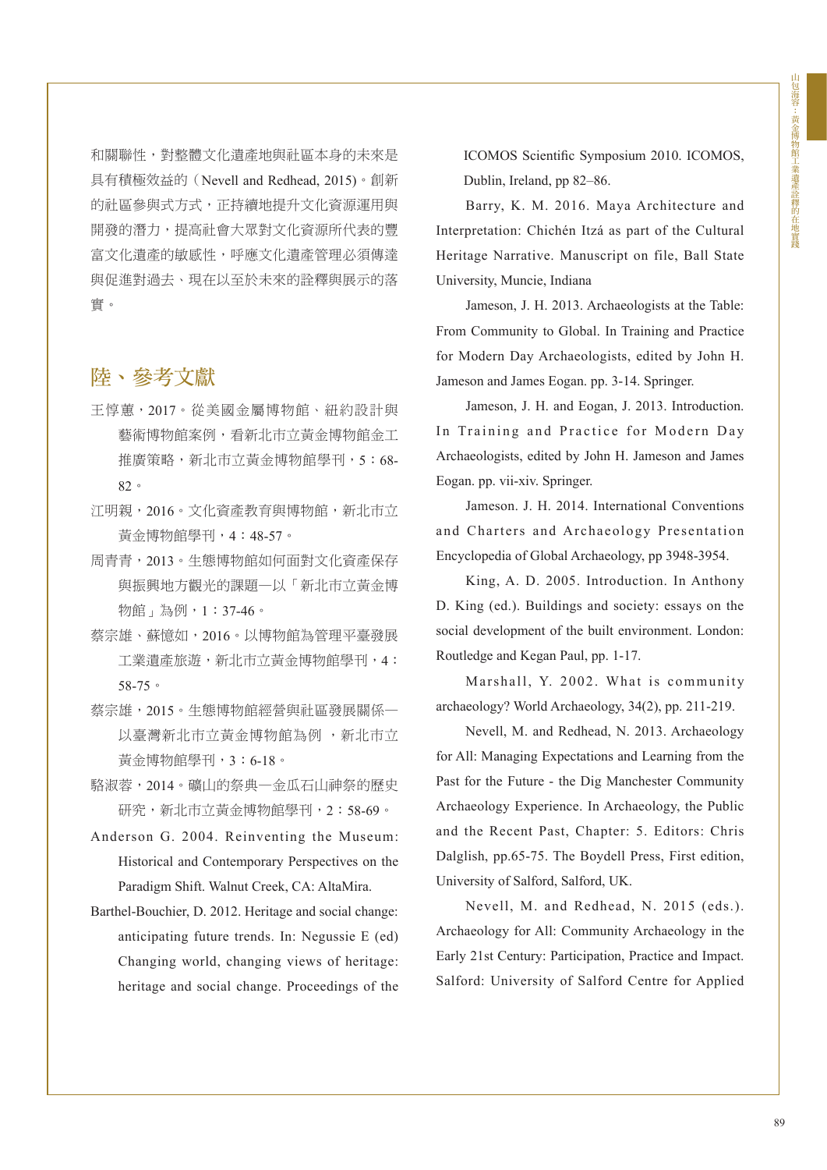和關聯性,對整體文化遺產地與社區本身的未來是 具有積極效益的(Nevell and Redhead, 2015)。創新 的社區參與式方式,正持續地提升文化資源運用與 開發的潛力,提高社會大眾對文化資源所代表的豐 富文化遺產的敏感性,呼應文化遺產管理必須傳達 與促進對過去、現在以至於未來的詮釋與展示的落 實。

### 陸、參考文獻

- 王惇蕙,2017。從美國金屬博物館、紐約設計與 藝術博物館案例,看新北市立黃金博物館金工 推廣策略,新北市立黃金博物館學刊,5:68-82。
- 江明親,2016。文化資產教育與博物館,新北市立 黃金博物館學刊,4:48-57。
- 周青青,2013。生態博物館如何面對文化資產保存 與振興地方觀光的課題—以「新北市立黃金博 物館」為例,1:37-46。
- 蔡宗雄、蘇憶如,2016。以博物館為管理平臺發展 工業遺產旅遊,新北市立黃金博物館學刊,4: 58-75。
- 蔡宗雄,2015。生態博物館經營與社區發展關係— 以臺灣新北市立黃金博物館為例, 新北市立 黃金博物館學刊,3:6-18。
- 駱淑蓉,2014。礦山的祭典—金瓜石山神祭的歷史 研究,新北市立黃金博物館學刊,2:58-69。
- Anderson G. 2004. Reinventing the Museum: Historical and Contemporary Perspectives on the Paradigm Shift. Walnut Creek, CA: AltaMira.
- Barthel-Bouchier, D. 2012. Heritage and social change: anticipating future trends. In: Negussie E (ed) Changing world, changing views of heritage: heritage and social change. Proceedings of the

ICOMOS Scientific Symposium 2010. ICOMOS, Dublin, Ireland, pp 82–86.

Barry, K. M. 2016. Maya Architecture and Interpretation: Chichén Itzá as part of the Cultural Heritage Narrative. Manuscript on file, Ball State University, Muncie, Indiana

Jameson, J. H. 2013. Archaeologists at the Table: From Community to Global. In Training and Practice for Modern Day Archaeologists, edited by John H. Jameson and James Eogan. pp. 3-14. Springer.

Jameson, J. H. and Eogan, J. 2013. Introduction. In Training and Practice for Modern Day Archaeologists, edited by John H. Jameson and James Eogan. pp. vii-xiv. Springer.

Jameson. J. H. 2014. International Conventions and Charters and Archaeology Presentation Encyclopedia of Global Archaeology, pp 3948-3954.

King, A. D. 2005. Introduction. In Anthony D. King (ed.). Buildings and society: essays on the social development of the built environment. London: Routledge and Kegan Paul, pp. 1-17.

Marshall, Y. 2002. What is community archaeology? World Archaeology, 34(2), pp. 211-219.

Nevell, M. and Redhead, N. 2013. Archaeology for All: Managing Expectations and Learning from the Past for the Future - the Dig Manchester Community Archaeology Experience. In Archaeology, the Public and the Recent Past, Chapter: 5. Editors: Chris Dalglish, pp.65-75. The Boydell Press, First edition, University of Salford, Salford, UK.

Nevell, M. and Redhead, N. 2015 (eds.). Archaeology for All: Community Archaeology in the Early 21st Century: Participation, Practice and Impact. Salford: University of Salford Centre for Applied